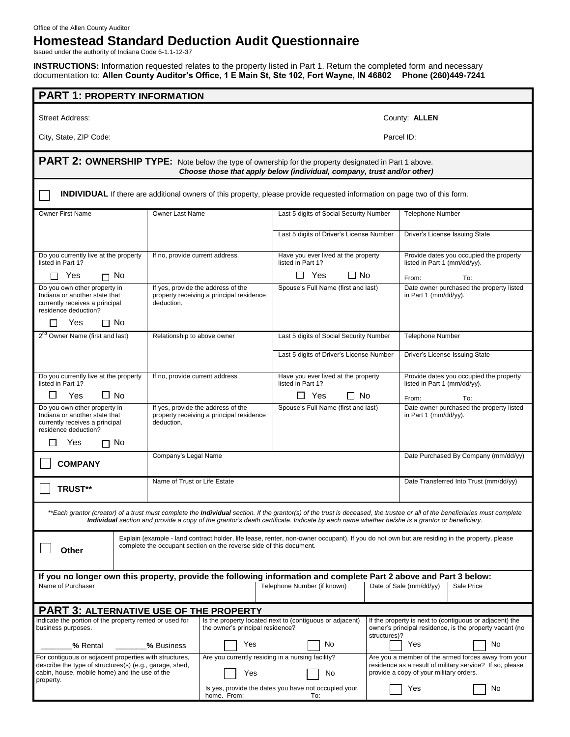Office of the Allen County Auditor

## **Homestead Standard Deduction Audit Questionnaire**

Issued under the authority of Indiana Code 6-1.1-12-37

**INSTRUCTIONS:** Information requested relates to the property listed in Part 1. Return the completed form and necessary documentation to: **Allen County Auditor's Office, 1 E Main St, Ste 102, Fort Wayne, IN 46802 Phone (260)449-7241**

| <b>PART 1: PROPERTY INFORMATION</b>                                                                                                                                                                                                                                                                                               |                                                                                                                                                                                                                     |                                                                                              |                                                             |                                                                                                                                                            |                                                                         |                                |  |  |
|-----------------------------------------------------------------------------------------------------------------------------------------------------------------------------------------------------------------------------------------------------------------------------------------------------------------------------------|---------------------------------------------------------------------------------------------------------------------------------------------------------------------------------------------------------------------|----------------------------------------------------------------------------------------------|-------------------------------------------------------------|------------------------------------------------------------------------------------------------------------------------------------------------------------|-------------------------------------------------------------------------|--------------------------------|--|--|
| Street Address:                                                                                                                                                                                                                                                                                                                   | County: ALLEN                                                                                                                                                                                                       |                                                                                              |                                                             |                                                                                                                                                            |                                                                         |                                |  |  |
| City, State, ZIP Code:                                                                                                                                                                                                                                                                                                            |                                                                                                                                                                                                                     |                                                                                              | Parcel ID:                                                  |                                                                                                                                                            |                                                                         |                                |  |  |
| PART 2: OWNERSHIP TYPE: Note below the type of ownership for the property designated in Part 1 above.<br>Choose those that apply below (individual, company, trust and/or other)                                                                                                                                                  |                                                                                                                                                                                                                     |                                                                                              |                                                             |                                                                                                                                                            |                                                                         |                                |  |  |
| <b>INDIVIDUAL</b> If there are additional owners of this property, please provide requested information on page two of this form.                                                                                                                                                                                                 |                                                                                                                                                                                                                     |                                                                                              |                                                             |                                                                                                                                                            |                                                                         |                                |  |  |
| <b>Owner First Name</b>                                                                                                                                                                                                                                                                                                           | <b>Owner Last Name</b>                                                                                                                                                                                              |                                                                                              | Last 5 digits of Social Security Number                     |                                                                                                                                                            | <b>Telephone Number</b>                                                 |                                |  |  |
|                                                                                                                                                                                                                                                                                                                                   |                                                                                                                                                                                                                     |                                                                                              | Last 5 digits of Driver's License Number                    |                                                                                                                                                            |                                                                         | Driver's License Issuing State |  |  |
| Do you currently live at the property<br>listed in Part 1?                                                                                                                                                                                                                                                                        |                                                                                                                                                                                                                     | If no, provide current address.                                                              | Have you ever lived at the property<br>listed in Part 1?    |                                                                                                                                                            | Provide dates you occupied the property<br>listed in Part 1 (mm/dd/yy). |                                |  |  |
| Yes<br>∩ No<br>П                                                                                                                                                                                                                                                                                                                  |                                                                                                                                                                                                                     |                                                                                              | Π No<br>Yes<br>$\perp$                                      |                                                                                                                                                            | From:                                                                   | To:                            |  |  |
| Do you own other property in<br>Indiana or another state that<br>currently receives a principal<br>deduction.<br>residence deduction?<br>Yes<br>$\Box$ No                                                                                                                                                                         |                                                                                                                                                                                                                     | If yes, provide the address of the<br>property receiving a principal residence               | Spouse's Full Name (first and last)                         |                                                                                                                                                            | Date owner purchased the property listed<br>in Part 1 (mm/dd/yy).       |                                |  |  |
| 2 <sup>nd</sup> Owner Name (first and last)                                                                                                                                                                                                                                                                                       | Relationship to above owner                                                                                                                                                                                         |                                                                                              | Last 5 digits of Social Security Number                     |                                                                                                                                                            | <b>Telephone Number</b>                                                 |                                |  |  |
|                                                                                                                                                                                                                                                                                                                                   |                                                                                                                                                                                                                     |                                                                                              | Last 5 digits of Driver's License Number                    |                                                                                                                                                            |                                                                         | Driver's License Issuing State |  |  |
| Do you currently live at the property<br>listed in Part 1?                                                                                                                                                                                                                                                                        |                                                                                                                                                                                                                     | If no, provide current address.                                                              | Have you ever lived at the property<br>listed in Part 1?    |                                                                                                                                                            | Provide dates you occupied the property<br>listed in Part 1 (mm/dd/yy). |                                |  |  |
| $\Box$ No<br>Yes                                                                                                                                                                                                                                                                                                                  |                                                                                                                                                                                                                     |                                                                                              | Yes<br>Π No                                                 |                                                                                                                                                            | From:                                                                   | To:                            |  |  |
| Do you own other property in<br>Indiana or another state that<br>currently receives a principal<br>residence deduction?                                                                                                                                                                                                           | deduction.                                                                                                                                                                                                          | If yes, provide the address of the<br>property receiving a principal residence               | Spouse's Full Name (first and last)                         |                                                                                                                                                            | Date owner purchased the property listed<br>in Part 1 (mm/dd/yy).       |                                |  |  |
| $\Box$ No<br>Yes                                                                                                                                                                                                                                                                                                                  |                                                                                                                                                                                                                     |                                                                                              |                                                             |                                                                                                                                                            |                                                                         |                                |  |  |
| Company's Legal Name<br><b>COMPANY</b>                                                                                                                                                                                                                                                                                            |                                                                                                                                                                                                                     |                                                                                              |                                                             |                                                                                                                                                            | Date Purchased By Company (mm/dd/yy)                                    |                                |  |  |
| Name of Trust or Life Estate<br>TRUST**                                                                                                                                                                                                                                                                                           |                                                                                                                                                                                                                     |                                                                                              |                                                             |                                                                                                                                                            | Date Transferred Into Trust (mm/dd/yy)                                  |                                |  |  |
| **Each grantor (creator) of a trust must complete the <b>Individual</b> section. If the grantor(s) of the trust is deceased, the trustee or all of the beneficiaries must complete<br>Individual section and provide a copy of the grantor's death certificate. Indicate by each name whether he/she is a grantor or beneficiary. |                                                                                                                                                                                                                     |                                                                                              |                                                             |                                                                                                                                                            |                                                                         |                                |  |  |
| Other                                                                                                                                                                                                                                                                                                                             | Explain (example - land contract holder, life lease, renter, non-owner occupant). If you do not own but are residing in the property, please<br>complete the occupant section on the reverse side of this document. |                                                                                              |                                                             |                                                                                                                                                            |                                                                         |                                |  |  |
| If you no longer own this property, provide the following information and complete Part 2 above and Part 3 below:                                                                                                                                                                                                                 |                                                                                                                                                                                                                     |                                                                                              |                                                             |                                                                                                                                                            |                                                                         |                                |  |  |
| Name of Purchaser                                                                                                                                                                                                                                                                                                                 |                                                                                                                                                                                                                     | Telephone Number (if known)                                                                  |                                                             | Date of Sale (mm/dd/yy)<br>Sale Price                                                                                                                      |                                                                         |                                |  |  |
| <b>PART 3: ALTERNATIVE USE OF THE PROPERTY</b>                                                                                                                                                                                                                                                                                    |                                                                                                                                                                                                                     |                                                                                              |                                                             |                                                                                                                                                            |                                                                         |                                |  |  |
| Indicate the portion of the property rented or used for<br>business purposes.                                                                                                                                                                                                                                                     |                                                                                                                                                                                                                     | Is the property located next to (contiguous or adjacent)<br>the owner's principal residence? |                                                             | If the property is next to (contiguous or adjacent) the<br>owner's principal residence, is the property vacant (no<br>structures)?                         |                                                                         |                                |  |  |
| % Rental                                                                                                                                                                                                                                                                                                                          | % Business                                                                                                                                                                                                          |                                                                                              | Yes<br>No                                                   |                                                                                                                                                            | Yes<br>No                                                               |                                |  |  |
| For contiguous or adjacent properties with structures,<br>describe the type of structures(s) (e.g., garage, shed,<br>cabin, house, mobile home) and the use of the<br>property.                                                                                                                                                   |                                                                                                                                                                                                                     | Are you currently residing in a nursing facility?<br>Yes<br>No                               |                                                             | Are you a member of the armed forces away from your<br>residence as a result of military service? If so, please<br>provide a copy of your military orders. |                                                                         |                                |  |  |
|                                                                                                                                                                                                                                                                                                                                   |                                                                                                                                                                                                                     | home. From:                                                                                  | Is yes, provide the dates you have not occupied your<br>To: |                                                                                                                                                            | Yes                                                                     | No                             |  |  |